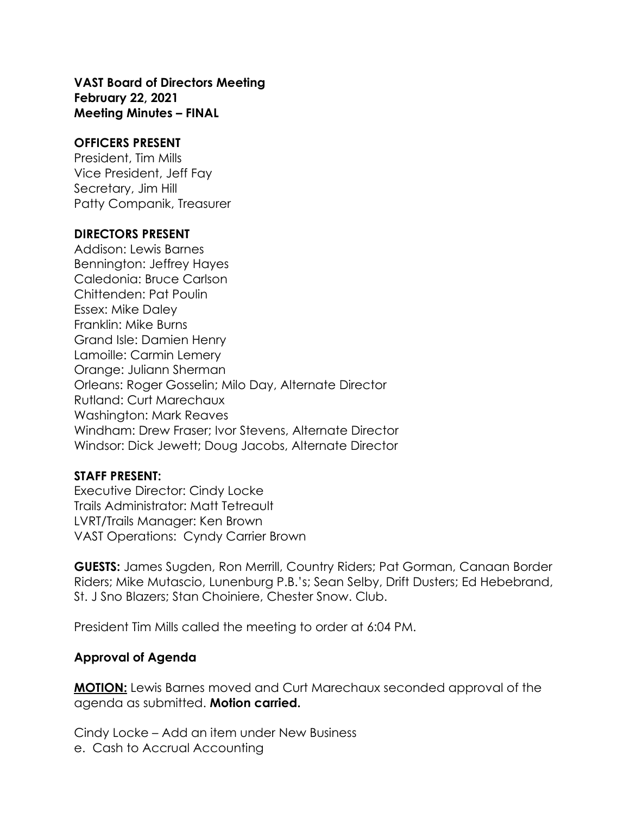**VAST Board of Directors Meeting February 22, 2021 Meeting Minutes – FINAL** 

#### **OFFICERS PRESENT**

President, Tim Mills Vice President, Jeff Fay Secretary, Jim Hill Patty Companik, Treasurer

#### **DIRECTORS PRESENT**

Addison: Lewis Barnes Bennington: Jeffrey Hayes Caledonia: Bruce Carlson Chittenden: Pat Poulin Essex: Mike Daley Franklin: Mike Burns Grand Isle: Damien Henry Lamoille: Carmin Lemery Orange: Juliann Sherman Orleans: Roger Gosselin; Milo Day, Alternate Director Rutland: Curt Marechaux Washington: Mark Reaves Windham: Drew Fraser; Ivor Stevens, Alternate Director Windsor: Dick Jewett; Doug Jacobs, Alternate Director

#### **STAFF PRESENT:**

Executive Director: Cindy Locke Trails Administrator: Matt Tetreault LVRT/Trails Manager: Ken Brown VAST Operations: Cyndy Carrier Brown

**GUESTS:** James Sugden, Ron Merrill, Country Riders; Pat Gorman, Canaan Border Riders; Mike Mutascio, Lunenburg P.B.'s; Sean Selby, Drift Dusters; Ed Hebebrand, St. J Sno Blazers; Stan Choiniere, Chester Snow. Club.

President Tim Mills called the meeting to order at 6:04 PM.

#### **Approval of Agenda**

**MOTION:** Lewis Barnes moved and Curt Marechaux seconded approval of the agenda as submitted. **Motion carried.**

Cindy Locke – Add an item under New Business e. Cash to Accrual Accounting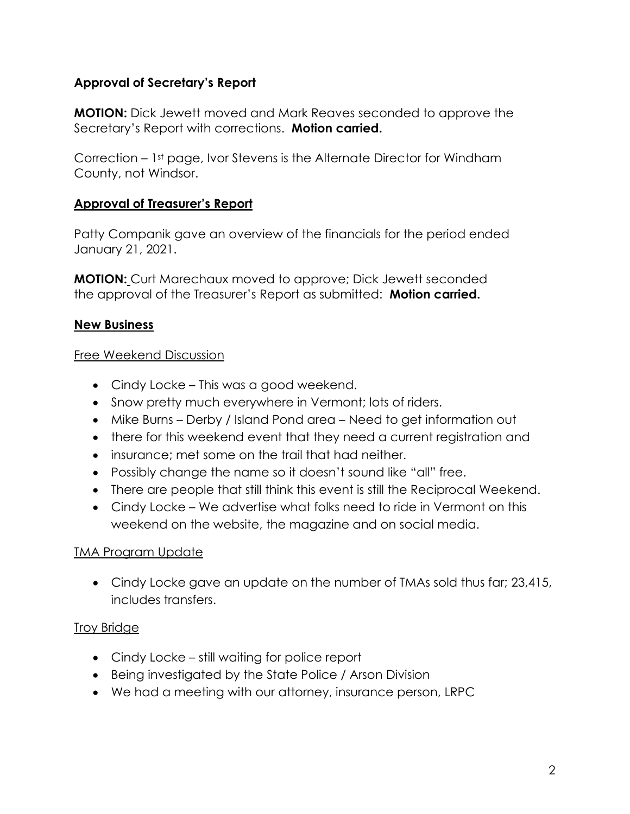# **Approval of Secretary's Report**

**MOTION:** Dick Jewett moved and Mark Reaves seconded to approve the Secretary's Report with corrections. **Motion carried.**

Correction – 1st page, Ivor Stevens is the Alternate Director for Windham County, not Windsor.

#### **Approval of Treasurer's Report**

Patty Companik gave an overview of the financials for the period ended January 21, 2021.

**MOTION:** Curt Marechaux moved to approve; Dick Jewett seconded the approval of the Treasurer's Report as submitted: **Motion carried.**

## **New Business**

#### Free Weekend Discussion

- Cindy Locke This was a good weekend.
- Snow pretty much everywhere in Vermont; lots of riders.
- Mike Burns Derby / Island Pond area Need to get information out
- there for this weekend event that they need a current registration and
- insurance; met some on the trail that had neither.
- Possibly change the name so it doesn't sound like "all" free.
- There are people that still think this event is still the Reciprocal Weekend.
- Cindy Locke We advertise what folks need to ride in Vermont on this weekend on the website, the magazine and on social media.

#### TMA Program Update

• Cindy Locke gave an update on the number of TMAs sold thus far; 23,415, includes transfers.

#### Troy Bridge

- Cindy Locke still waiting for police report
- Being investigated by the State Police / Arson Division
- We had a meeting with our attorney, insurance person, LRPC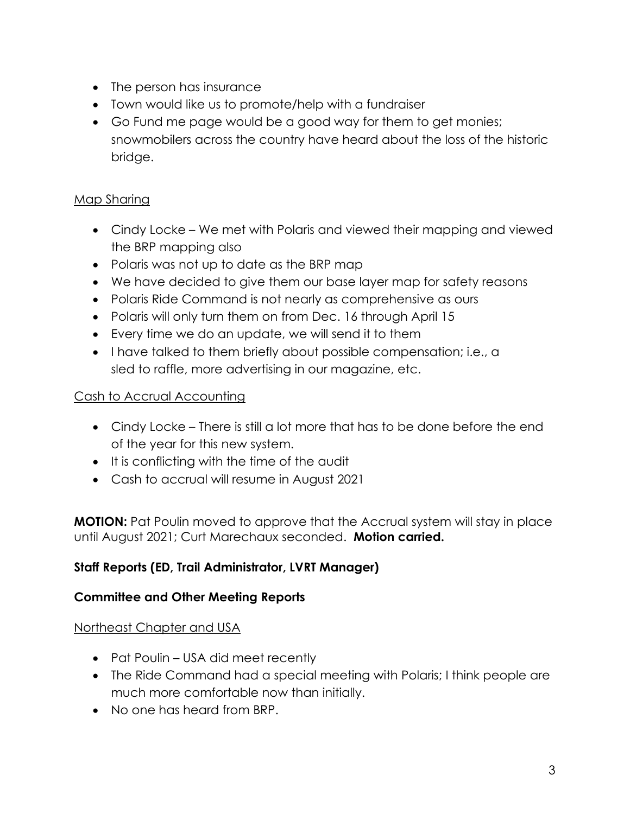- The person has insurance
- Town would like us to promote/help with a fundraiser
- Go Fund me page would be a good way for them to get monies; snowmobilers across the country have heard about the loss of the historic bridge.

# Map Sharing

- Cindy Locke We met with Polaris and viewed their mapping and viewed the BRP mapping also
- Polaris was not up to date as the BRP map
- We have decided to give them our base layer map for safety reasons
- Polaris Ride Command is not nearly as comprehensive as ours
- Polaris will only turn them on from Dec. 16 through April 15
- Every time we do an update, we will send it to them
- I have talked to them briefly about possible compensation; i.e., a sled to raffle, more advertising in our magazine, etc.

## Cash to Accrual Accounting

- Cindy Locke There is still a lot more that has to be done before the end of the year for this new system.
- It is conflicting with the time of the audit
- Cash to accrual will resume in August 2021

**MOTION:** Pat Poulin moved to approve that the Accrual system will stay in place until August 2021; Curt Marechaux seconded. **Motion carried.**

## **Staff Reports (ED, Trail Administrator, LVRT Manager)**

## **Committee and Other Meeting Reports**

## Northeast Chapter and USA

- Pat Poulin USA did meet recently
- The Ride Command had a special meeting with Polaris; I think people are much more comfortable now than initially.
- No one has heard from BRP.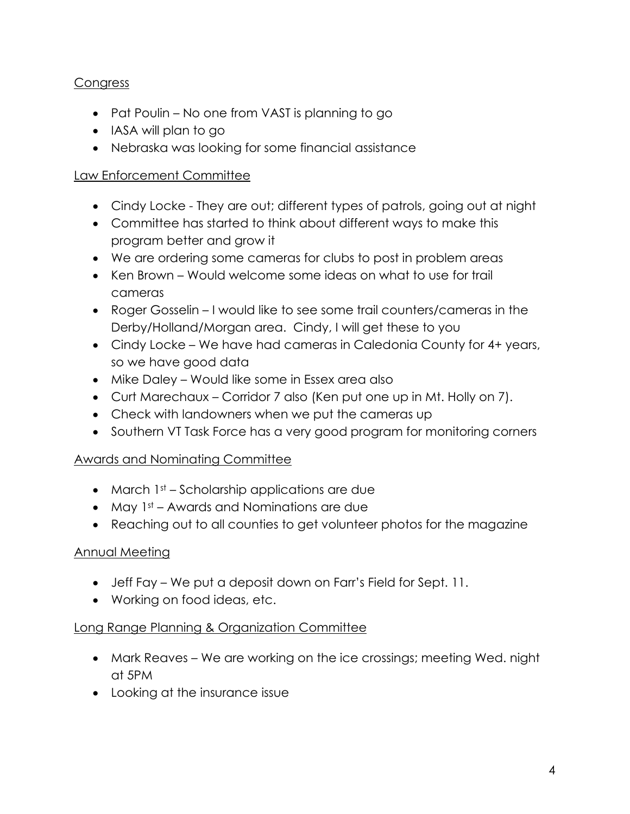# **Congress**

- Pat Poulin No one from VAST is planning to go
- IASA will plan to go
- Nebraska was looking for some financial assistance

#### Law Enforcement Committee

- Cindy Locke They are out; different types of patrols, going out at night
- Committee has started to think about different ways to make this program better and grow it
- We are ordering some cameras for clubs to post in problem areas
- Ken Brown Would welcome some ideas on what to use for trail cameras
- Roger Gosselin I would like to see some trail counters/cameras in the Derby/Holland/Morgan area. Cindy, I will get these to you
- Cindy Locke We have had cameras in Caledonia County for 4+ years, so we have good data
- Mike Daley Would like some in Essex area also
- Curt Marechaux Corridor 7 also (Ken put one up in Mt. Holly on 7).
- Check with landowners when we put the cameras up
- Southern VT Task Force has a very good program for monitoring corners

## Awards and Nominating Committee

- March 1st Scholarship applications are due
- May  $1st A$ wards and Nominations are due
- Reaching out to all counties to get volunteer photos for the magazine

## Annual Meeting

- Jeff Fay We put a deposit down on Farr's Field for Sept. 11.
- Working on food ideas, etc.

## Long Range Planning & Organization Committee

- Mark Reaves We are working on the ice crossings; meeting Wed. night at 5PM
- Looking at the insurance issue